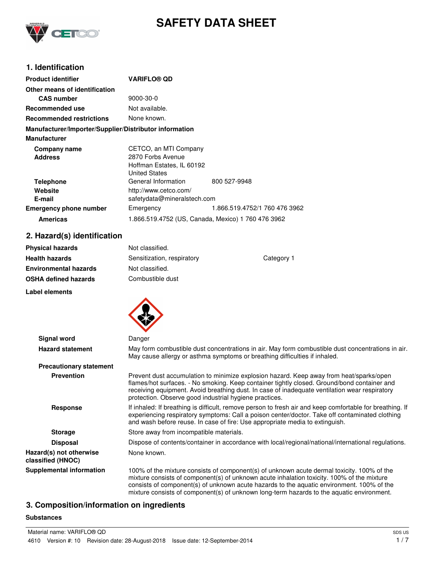

# **SAFETY DATA SHEET**

## **1. Identification**

| <b>Product identifier</b>                              | <b>VARIFLO® QD</b>                                                                              |                               |
|--------------------------------------------------------|-------------------------------------------------------------------------------------------------|-------------------------------|
| Other means of identification                          |                                                                                                 |                               |
| <b>CAS</b> number                                      | $9000 - 30 - 0$                                                                                 |                               |
| Recommended use                                        | Not available.                                                                                  |                               |
| <b>Recommended restrictions</b>                        | None known.                                                                                     |                               |
| Manufacturer/Importer/Supplier/Distributor information |                                                                                                 |                               |
| <b>Manufacturer</b>                                    |                                                                                                 |                               |
| Company name<br><b>Address</b>                         | CETCO, an MTI Company<br>2870 Forbs Avenue<br>Hoffman Estates, IL 60192<br><b>United States</b> |                               |
| <b>Telephone</b><br>Website<br>E-mail                  | General Information<br>http://www.cetco.com/<br>safetydata@mineralstech.com                     | 800 527-9948                  |
| <b>Emergency phone number</b>                          | Emergency                                                                                       | 1.866.519.4752/1 760 476 3962 |
| <b>Americas</b>                                        | 1.866.519.4752 (US, Canada, Mexico) 1 760 476 3962                                              |                               |

## **2. Hazard(s) identification**

| <b>Physical hazards</b> | Not classified.            |            |
|-------------------------|----------------------------|------------|
| Health hazards          | Sensitization, respiratory | Category 1 |
| Environmental hazards   | Not classified.            |            |
| OSHA defined hazards    | Combustible dust           |            |
| Label elements          |                            |            |



| Signal word                                  | Danger                                                                                                                                                                                                                                                                                                                                                                             |  |  |
|----------------------------------------------|------------------------------------------------------------------------------------------------------------------------------------------------------------------------------------------------------------------------------------------------------------------------------------------------------------------------------------------------------------------------------------|--|--|
| <b>Hazard statement</b>                      | May form combustible dust concentrations in air. May form combustible dust concentrations in air.<br>May cause allergy or asthma symptoms or breathing difficulties if inhaled.                                                                                                                                                                                                    |  |  |
| <b>Precautionary statement</b>               |                                                                                                                                                                                                                                                                                                                                                                                    |  |  |
| <b>Prevention</b>                            | Prevent dust accumulation to minimize explosion hazard. Keep away from heat/sparks/open<br>flames/hot surfaces. - No smoking. Keep container tightly closed. Ground/bond container and<br>receiving equipment. Avoid breathing dust. In case of inadequate ventilation wear respiratory<br>protection. Observe good industrial hygiene practices.                                  |  |  |
| <b>Response</b>                              | If inhaled: If breathing is difficult, remove person to fresh air and keep comfortable for breathing. If<br>experiencing respiratory symptoms: Call a poison center/doctor. Take off contaminated clothing<br>and wash before reuse. In case of fire: Use appropriate media to extinguish.                                                                                         |  |  |
| <b>Storage</b>                               | Store away from incompatible materials.                                                                                                                                                                                                                                                                                                                                            |  |  |
| <b>Disposal</b>                              | Dispose of contents/container in accordance with local/regional/national/international regulations.                                                                                                                                                                                                                                                                                |  |  |
| Hazard(s) not otherwise<br>classified (HNOC) | None known.                                                                                                                                                                                                                                                                                                                                                                        |  |  |
| <b>Supplemental information</b>              | 100% of the mixture consists of component(s) of unknown acute dermal toxicity. 100% of the<br>mixture consists of component(s) of unknown acute inhalation toxicity. 100% of the mixture<br>consists of component(s) of unknown acute hazards to the aquatic environment. 100% of the<br>mixture consists of component(s) of unknown long-term hazards to the aquatic environment. |  |  |

# **3. Composition/information on ingredients**

### **Substances**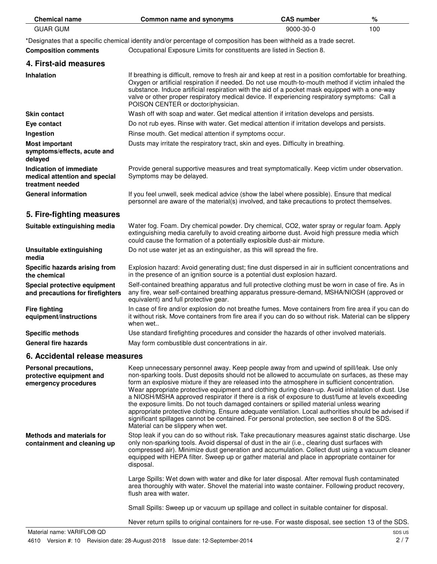| <b>Chemical name</b>                                                         | <b>Common name and synonyms</b>                                                                                                                                                                                                                                                                                                                                                                                                                                                                                                                                                                                                                                                                                                                                                                                                                    | <b>CAS number</b> | %   |  |
|------------------------------------------------------------------------------|----------------------------------------------------------------------------------------------------------------------------------------------------------------------------------------------------------------------------------------------------------------------------------------------------------------------------------------------------------------------------------------------------------------------------------------------------------------------------------------------------------------------------------------------------------------------------------------------------------------------------------------------------------------------------------------------------------------------------------------------------------------------------------------------------------------------------------------------------|-------------------|-----|--|
| <b>GUAR GUM</b>                                                              | 9000-30-0                                                                                                                                                                                                                                                                                                                                                                                                                                                                                                                                                                                                                                                                                                                                                                                                                                          |                   | 100 |  |
|                                                                              | *Designates that a specific chemical identity and/or percentage of composition has been withheld as a trade secret.                                                                                                                                                                                                                                                                                                                                                                                                                                                                                                                                                                                                                                                                                                                                |                   |     |  |
| <b>Composition comments</b>                                                  | Occupational Exposure Limits for constituents are listed in Section 8.                                                                                                                                                                                                                                                                                                                                                                                                                                                                                                                                                                                                                                                                                                                                                                             |                   |     |  |
| 4. First-aid measures                                                        |                                                                                                                                                                                                                                                                                                                                                                                                                                                                                                                                                                                                                                                                                                                                                                                                                                                    |                   |     |  |
| <b>Inhalation</b>                                                            | If breathing is difficult, remove to fresh air and keep at rest in a position comfortable for breathing.<br>Oxygen or artificial respiration if needed. Do not use mouth-to-mouth method if victim inhaled the<br>substance. Induce artificial respiration with the aid of a pocket mask equipped with a one-way<br>valve or other proper respiratory medical device. If experiencing respiratory symptoms: Call a<br>POISON CENTER or doctor/physician.                                                                                                                                                                                                                                                                                                                                                                                           |                   |     |  |
| <b>Skin contact</b>                                                          | Wash off with soap and water. Get medical attention if irritation develops and persists.                                                                                                                                                                                                                                                                                                                                                                                                                                                                                                                                                                                                                                                                                                                                                           |                   |     |  |
| Eye contact                                                                  | Do not rub eyes. Rinse with water. Get medical attention if irritation develops and persists.                                                                                                                                                                                                                                                                                                                                                                                                                                                                                                                                                                                                                                                                                                                                                      |                   |     |  |
| Ingestion                                                                    | Rinse mouth. Get medical attention if symptoms occur.                                                                                                                                                                                                                                                                                                                                                                                                                                                                                                                                                                                                                                                                                                                                                                                              |                   |     |  |
| <b>Most important</b><br>symptoms/effects, acute and<br>delayed              | Dusts may irritate the respiratory tract, skin and eyes. Difficulty in breathing.                                                                                                                                                                                                                                                                                                                                                                                                                                                                                                                                                                                                                                                                                                                                                                  |                   |     |  |
| Indication of immediate<br>medical attention and special<br>treatment needed | Provide general supportive measures and treat symptomatically. Keep victim under observation.<br>Symptoms may be delayed.                                                                                                                                                                                                                                                                                                                                                                                                                                                                                                                                                                                                                                                                                                                          |                   |     |  |
| <b>General information</b>                                                   | If you feel unwell, seek medical advice (show the label where possible). Ensure that medical<br>personnel are aware of the material(s) involved, and take precautions to protect themselves.                                                                                                                                                                                                                                                                                                                                                                                                                                                                                                                                                                                                                                                       |                   |     |  |
| 5. Fire-fighting measures                                                    |                                                                                                                                                                                                                                                                                                                                                                                                                                                                                                                                                                                                                                                                                                                                                                                                                                                    |                   |     |  |
| Suitable extinguishing media                                                 | Water fog. Foam. Dry chemical powder. Dry chemical, CO2, water spray or regular foam. Apply<br>extinguishing media carefully to avoid creating airborne dust. Avoid high pressure media which<br>could cause the formation of a potentially explosible dust-air mixture.                                                                                                                                                                                                                                                                                                                                                                                                                                                                                                                                                                           |                   |     |  |
| Unsuitable extinguishing<br>media                                            | Do not use water jet as an extinguisher, as this will spread the fire.                                                                                                                                                                                                                                                                                                                                                                                                                                                                                                                                                                                                                                                                                                                                                                             |                   |     |  |
| Specific hazards arising from<br>the chemical                                | Explosion hazard: Avoid generating dust; fine dust dispersed in air in sufficient concentrations and<br>in the presence of an ignition source is a potential dust explosion hazard.                                                                                                                                                                                                                                                                                                                                                                                                                                                                                                                                                                                                                                                                |                   |     |  |
| Special protective equipment<br>and precautions for firefighters             | Self-contained breathing apparatus and full protective clothing must be worn in case of fire. As in<br>any fire, wear self-contained breathing apparatus pressure-demand, MSHA/NIOSH (approved or<br>equivalent) and full protective gear.                                                                                                                                                                                                                                                                                                                                                                                                                                                                                                                                                                                                         |                   |     |  |
| <b>Fire fighting</b><br>equipment/instructions                               | In case of fire and/or explosion do not breathe fumes. Move containers from fire area if you can do<br>it without risk. Move containers from fire area if you can do so without risk. Material can be slippery<br>when wet                                                                                                                                                                                                                                                                                                                                                                                                                                                                                                                                                                                                                         |                   |     |  |
| <b>Specific methods</b>                                                      | Use standard firefighting procedures and consider the hazards of other involved materials.                                                                                                                                                                                                                                                                                                                                                                                                                                                                                                                                                                                                                                                                                                                                                         |                   |     |  |
| <b>General fire hazards</b>                                                  | May form combustible dust concentrations in air.                                                                                                                                                                                                                                                                                                                                                                                                                                                                                                                                                                                                                                                                                                                                                                                                   |                   |     |  |
| 6. Accidental release measures                                               |                                                                                                                                                                                                                                                                                                                                                                                                                                                                                                                                                                                                                                                                                                                                                                                                                                                    |                   |     |  |
| Personal precautions,<br>protective equipment and<br>emergency procedures    | Keep unnecessary personnel away. Keep people away from and upwind of spill/leak. Use only<br>non-sparking tools. Dust deposits should not be allowed to accumulate on surfaces, as these may<br>form an explosive mixture if they are released into the atmosphere in sufficient concentration.<br>Wear appropriate protective equipment and clothing during clean-up. Avoid inhalation of dust. Use<br>a NIOSH/MSHA approved respirator if there is a risk of exposure to dust/fume at levels exceeding<br>the exposure limits. Do not touch damaged containers or spilled material unless wearing<br>appropriate protective clothing. Ensure adequate ventilation. Local authorities should be advised if<br>significant spillages cannot be contained. For personal protection, see section 8 of the SDS.<br>Material can be slippery when wet. |                   |     |  |
| <b>Methods and materials for</b><br>containment and cleaning up              | Stop leak if you can do so without risk. Take precautionary measures against static discharge. Use<br>only non-sparking tools. Avoid dispersal of dust in the air (i.e., clearing dust surfaces with<br>compressed air). Minimize dust generation and accumulation. Collect dust using a vacuum cleaner<br>equipped with HEPA filter. Sweep up or gather material and place in appropriate container for<br>disposal.                                                                                                                                                                                                                                                                                                                                                                                                                              |                   |     |  |
|                                                                              | Large Spills: Wet down with water and dike for later disposal. After removal flush contaminated<br>area thoroughly with water. Shovel the material into waste container. Following product recovery,<br>flush area with water.                                                                                                                                                                                                                                                                                                                                                                                                                                                                                                                                                                                                                     |                   |     |  |
|                                                                              | Small Spills: Sweep up or vacuum up spillage and collect in suitable container for disposal.                                                                                                                                                                                                                                                                                                                                                                                                                                                                                                                                                                                                                                                                                                                                                       |                   |     |  |
|                                                                              | Never return spills to original containers for re-use. For waste disposal, see section 13 of the SDS.                                                                                                                                                                                                                                                                                                                                                                                                                                                                                                                                                                                                                                                                                                                                              |                   |     |  |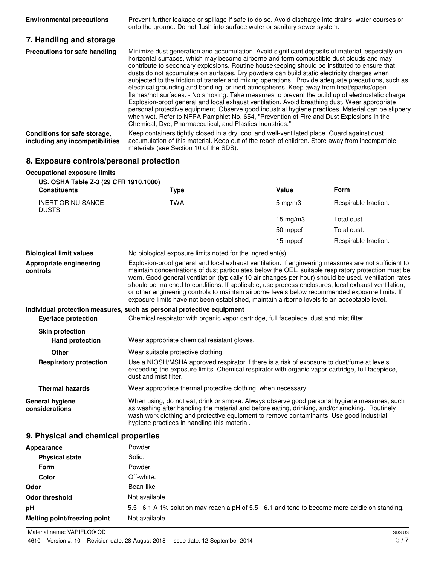| <b>Environmental precautions</b>                                | Prevent further leakage or spillage if safe to do so. Avoid discharge into drains, water courses or<br>onto the ground. Do not flush into surface water or sanitary sewer system.                                                                                                                                                                                                                                                                                                                                                                                                                                                                                                                                                                                                                                                                                                                                                                                                                                                                               |
|-----------------------------------------------------------------|-----------------------------------------------------------------------------------------------------------------------------------------------------------------------------------------------------------------------------------------------------------------------------------------------------------------------------------------------------------------------------------------------------------------------------------------------------------------------------------------------------------------------------------------------------------------------------------------------------------------------------------------------------------------------------------------------------------------------------------------------------------------------------------------------------------------------------------------------------------------------------------------------------------------------------------------------------------------------------------------------------------------------------------------------------------------|
| 7. Handling and storage                                         |                                                                                                                                                                                                                                                                                                                                                                                                                                                                                                                                                                                                                                                                                                                                                                                                                                                                                                                                                                                                                                                                 |
| Precautions for safe handling                                   | Minimize dust generation and accumulation. Avoid significant deposits of material, especially on<br>horizontal surfaces, which may become airborne and form combustible dust clouds and may<br>contribute to secondary explosions. Routine house keeping should be instituted to ensure that<br>dusts do not accumulate on surfaces. Dry powders can build static electricity charges when<br>subjected to the friction of transfer and mixing operations. Provide adequate precautions, such as<br>electrical grounding and bonding, or inert atmospheres. Keep away from heat/sparks/open<br>flames/hot surfaces. - No smoking. Take measures to prevent the build up of electrostatic charge.<br>Explosion-proof general and local exhaust ventilation. Avoid breathing dust. Wear appropriate<br>personal protective equipment. Observe good industrial hygiene practices. Material can be slippery<br>when wet. Refer to NFPA Pamphlet No. 654, "Prevention of Fire and Dust Explosions in the<br>Chemical, Dye, Pharmaceutical, and Plastics Industries." |
| Conditions for safe storage,<br>including any incompatibilities | Keep containers tightly closed in a dry, cool and well-ventilated place. Guard against dust<br>accumulation of this material. Keep out of the reach of children. Store away from incompatible<br>materials (see Section 10 of the SDS).                                                                                                                                                                                                                                                                                                                                                                                                                                                                                                                                                                                                                                                                                                                                                                                                                         |

## **8. Exposure controls/personal protection**

| <b>Occupational exposure limits</b>                          |                                                                                                                                                                                                                                                                                                                                         |                                                                                                                                                                                                                                                                                                                                                                                                                                                                                                                                                                                                                             |                      |  |  |
|--------------------------------------------------------------|-----------------------------------------------------------------------------------------------------------------------------------------------------------------------------------------------------------------------------------------------------------------------------------------------------------------------------------------|-----------------------------------------------------------------------------------------------------------------------------------------------------------------------------------------------------------------------------------------------------------------------------------------------------------------------------------------------------------------------------------------------------------------------------------------------------------------------------------------------------------------------------------------------------------------------------------------------------------------------------|----------------------|--|--|
| US. OSHA Table Z-3 (29 CFR 1910.1000)<br><b>Constituents</b> | <b>Type</b>                                                                                                                                                                                                                                                                                                                             | Value                                                                                                                                                                                                                                                                                                                                                                                                                                                                                                                                                                                                                       | Form                 |  |  |
| <b>INERT OR NUISANCE</b><br><b>DUSTS</b>                     | <b>TWA</b>                                                                                                                                                                                                                                                                                                                              | $5$ mg/m $3$                                                                                                                                                                                                                                                                                                                                                                                                                                                                                                                                                                                                                | Respirable fraction. |  |  |
|                                                              |                                                                                                                                                                                                                                                                                                                                         | $15$ mg/m $3$                                                                                                                                                                                                                                                                                                                                                                                                                                                                                                                                                                                                               | Total dust.          |  |  |
|                                                              |                                                                                                                                                                                                                                                                                                                                         | 50 mppcf                                                                                                                                                                                                                                                                                                                                                                                                                                                                                                                                                                                                                    | Total dust.          |  |  |
|                                                              |                                                                                                                                                                                                                                                                                                                                         | 15 mppcf                                                                                                                                                                                                                                                                                                                                                                                                                                                                                                                                                                                                                    | Respirable fraction. |  |  |
| <b>Biological limit values</b>                               | No biological exposure limits noted for the ingredient(s).                                                                                                                                                                                                                                                                              |                                                                                                                                                                                                                                                                                                                                                                                                                                                                                                                                                                                                                             |                      |  |  |
| Appropriate engineering<br>controls                          |                                                                                                                                                                                                                                                                                                                                         | Explosion-proof general and local exhaust ventilation. If engineering measures are not sufficient to<br>maintain concentrations of dust particulates below the OEL, suitable respiratory protection must be<br>worn. Good general ventilation (typically 10 air changes per hour) should be used. Ventilation rates<br>should be matched to conditions. If applicable, use process enclosures, local exhaust ventilation,<br>or other engineering controls to maintain airborne levels below recommended exposure limits. If<br>exposure limits have not been established, maintain airborne levels to an acceptable level. |                      |  |  |
|                                                              | Individual protection measures, such as personal protective equipment                                                                                                                                                                                                                                                                   |                                                                                                                                                                                                                                                                                                                                                                                                                                                                                                                                                                                                                             |                      |  |  |
| Eye/face protection                                          | Chemical respirator with organic vapor cartridge, full facepiece, dust and mist filter.                                                                                                                                                                                                                                                 |                                                                                                                                                                                                                                                                                                                                                                                                                                                                                                                                                                                                                             |                      |  |  |
| <b>Skin protection</b><br><b>Hand protection</b>             | Wear appropriate chemical resistant gloves.                                                                                                                                                                                                                                                                                             |                                                                                                                                                                                                                                                                                                                                                                                                                                                                                                                                                                                                                             |                      |  |  |
| Other                                                        | Wear suitable protective clothing.                                                                                                                                                                                                                                                                                                      |                                                                                                                                                                                                                                                                                                                                                                                                                                                                                                                                                                                                                             |                      |  |  |
| <b>Respiratory protection</b>                                | Use a NIOSH/MSHA approved respirator if there is a risk of exposure to dust/fume at levels<br>exceeding the exposure limits. Chemical respirator with organic vapor cartridge, full facepiece,<br>dust and mist filter.                                                                                                                 |                                                                                                                                                                                                                                                                                                                                                                                                                                                                                                                                                                                                                             |                      |  |  |
| <b>Thermal hazards</b>                                       | Wear appropriate thermal protective clothing, when necessary.                                                                                                                                                                                                                                                                           |                                                                                                                                                                                                                                                                                                                                                                                                                                                                                                                                                                                                                             |                      |  |  |
| <b>General hygiene</b><br>considerations                     | When using, do not eat, drink or smoke. Always observe good personal hygiene measures, such<br>as washing after handling the material and before eating, drinking, and/or smoking. Routinely<br>wash work clothing and protective equipment to remove contaminants. Use good industrial<br>hygiene practices in handling this material. |                                                                                                                                                                                                                                                                                                                                                                                                                                                                                                                                                                                                                             |                      |  |  |
| 9. Physical and chemical properties                          |                                                                                                                                                                                                                                                                                                                                         |                                                                                                                                                                                                                                                                                                                                                                                                                                                                                                                                                                                                                             |                      |  |  |
| Appearance                                                   | Powder.                                                                                                                                                                                                                                                                                                                                 |                                                                                                                                                                                                                                                                                                                                                                                                                                                                                                                                                                                                                             |                      |  |  |
| <b>Physical state</b>                                        | Solid.                                                                                                                                                                                                                                                                                                                                  |                                                                                                                                                                                                                                                                                                                                                                                                                                                                                                                                                                                                                             |                      |  |  |
| <b>Form</b>                                                  | Powder.                                                                                                                                                                                                                                                                                                                                 |                                                                                                                                                                                                                                                                                                                                                                                                                                                                                                                                                                                                                             |                      |  |  |
| Color                                                        | Off-white.                                                                                                                                                                                                                                                                                                                              |                                                                                                                                                                                                                                                                                                                                                                                                                                                                                                                                                                                                                             |                      |  |  |

| Odor                         | Bean-like                                                                                       |
|------------------------------|-------------------------------------------------------------------------------------------------|
| Odor threshold               | Not available.                                                                                  |
| рH                           | 5.5 - 6.1 A 1% solution may reach a pH of 5.5 - 6.1 and tend to become more acidic on standing. |
| Melting point/freezing point | Not available.                                                                                  |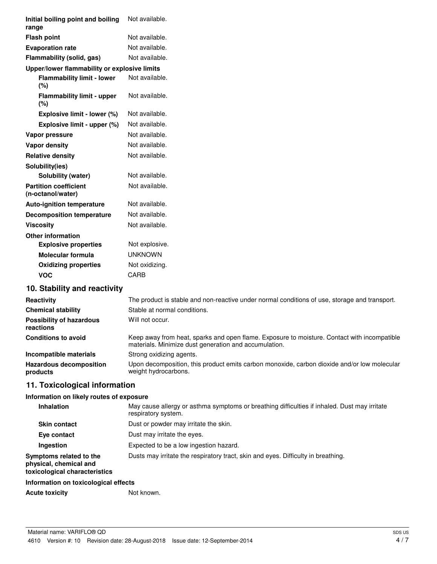| Initial boiling point and boiling<br>range        | Not available.                                                                              |
|---------------------------------------------------|---------------------------------------------------------------------------------------------|
| <b>Flash point</b>                                | Not available.                                                                              |
| <b>Evaporation rate</b>                           | Not available.                                                                              |
| Flammability (solid, gas)                         | Not available.                                                                              |
| Upper/lower flammability or explosive limits      |                                                                                             |
| <b>Flammability limit - lower</b><br>(%)          | Not available.                                                                              |
| <b>Flammability limit - upper</b><br>(%)          | Not available.                                                                              |
| Explosive limit - lower (%)                       | Not available.                                                                              |
| Explosive limit - upper (%)                       | Not available.                                                                              |
| Vapor pressure                                    | Not available.                                                                              |
| <b>Vapor density</b>                              | Not available.                                                                              |
| <b>Relative density</b>                           | Not available.                                                                              |
| Solubility(ies)                                   |                                                                                             |
| Solubility (water)                                | Not available.                                                                              |
| <b>Partition coefficient</b><br>(n-octanol/water) | Not available.                                                                              |
| <b>Auto-ignition temperature</b>                  | Not available.                                                                              |
| <b>Decomposition temperature</b>                  | Not available.                                                                              |
| <b>Viscosity</b>                                  | Not available.                                                                              |
| <b>Other information</b>                          |                                                                                             |
| <b>Explosive properties</b>                       | Not explosive.                                                                              |
| <b>Molecular formula</b>                          | <b>UNKNOWN</b>                                                                              |
| <b>Oxidizing properties</b>                       | Not oxidizing.                                                                              |
| <b>VOC</b>                                        | CARB                                                                                        |
| 10. Stability and reactivity                      |                                                                                             |
| Reactivity                                        | The product is stable and non-reactive under normal conditions of use storage and transport |

| Reactivity                                   | The product is stable and non-reactive under normal conditions of use, storage and transport.                                                        |
|----------------------------------------------|------------------------------------------------------------------------------------------------------------------------------------------------------|
| <b>Chemical stability</b>                    | Stable at normal conditions.                                                                                                                         |
| <b>Possibility of hazardous</b><br>reactions | Will not occur.                                                                                                                                      |
| <b>Conditions to avoid</b>                   | Keep away from heat, sparks and open flame. Exposure to moisture. Contact with incompatible<br>materials. Minimize dust generation and accumulation. |
| Incompatible materials                       | Strong oxidizing agents.                                                                                                                             |
| <b>Hazardous decomposition</b><br>products   | Upon decomposition, this product emits carbon monoxide, carbon dioxide and/or low molecular<br>weight hydrocarbons.                                  |
|                                              |                                                                                                                                                      |

# **11. Toxicological information**

### **Information on likely routes of exposure**

| <b>Inhalation</b>                                                                  | May cause allergy or asthma symptoms or breathing difficulties if inhaled. Dust may irritate<br>respiratory system. |
|------------------------------------------------------------------------------------|---------------------------------------------------------------------------------------------------------------------|
| <b>Skin contact</b>                                                                | Dust or powder may irritate the skin.                                                                               |
| Eye contact                                                                        | Dust may irritate the eyes.                                                                                         |
| Ingestion                                                                          | Expected to be a low ingestion hazard.                                                                              |
| Symptoms related to the<br>physical, chemical and<br>toxicological characteristics | Dusts may irritate the respiratory tract, skin and eyes. Difficulty in breathing.                                   |
| Information on toxicological effects                                               |                                                                                                                     |

Acute toxicity **Not known.** Not known.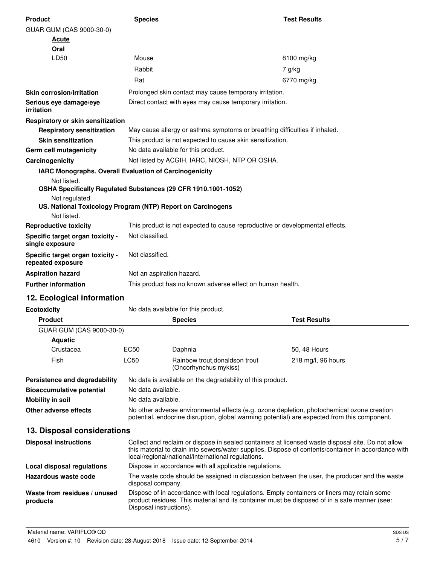| <b>Product</b>                                                                               | <b>Species</b>                                                                                                                                                                             |                                                                                             | <b>Test Results</b>                                                                                                                                                                                      |  |
|----------------------------------------------------------------------------------------------|--------------------------------------------------------------------------------------------------------------------------------------------------------------------------------------------|---------------------------------------------------------------------------------------------|----------------------------------------------------------------------------------------------------------------------------------------------------------------------------------------------------------|--|
| GUAR GUM (CAS 9000-30-0)                                                                     |                                                                                                                                                                                            |                                                                                             |                                                                                                                                                                                                          |  |
| Acute<br>Oral                                                                                |                                                                                                                                                                                            |                                                                                             |                                                                                                                                                                                                          |  |
| LD50                                                                                         | Mouse                                                                                                                                                                                      |                                                                                             | 8100 mg/kg                                                                                                                                                                                               |  |
|                                                                                              | Rabbit                                                                                                                                                                                     |                                                                                             | 7 g/kg                                                                                                                                                                                                   |  |
|                                                                                              | Rat                                                                                                                                                                                        |                                                                                             | 6770 mg/kg                                                                                                                                                                                               |  |
| <b>Skin corrosion/irritation</b>                                                             |                                                                                                                                                                                            | Prolonged skin contact may cause temporary irritation.                                      |                                                                                                                                                                                                          |  |
| Serious eye damage/eye<br>irritation                                                         |                                                                                                                                                                                            | Direct contact with eyes may cause temporary irritation.                                    |                                                                                                                                                                                                          |  |
| Respiratory or skin sensitization                                                            |                                                                                                                                                                                            |                                                                                             |                                                                                                                                                                                                          |  |
| <b>Respiratory sensitization</b>                                                             |                                                                                                                                                                                            | May cause allergy or asthma symptoms or breathing difficulties if inhaled.                  |                                                                                                                                                                                                          |  |
| <b>Skin sensitization</b>                                                                    |                                                                                                                                                                                            | This product is not expected to cause skin sensitization.                                   |                                                                                                                                                                                                          |  |
| Germ cell mutagenicity                                                                       |                                                                                                                                                                                            | No data available for this product.                                                         |                                                                                                                                                                                                          |  |
| Carcinogenicity                                                                              |                                                                                                                                                                                            | Not listed by ACGIH, IARC, NIOSH, NTP OR OSHA.                                              |                                                                                                                                                                                                          |  |
| IARC Monographs. Overall Evaluation of Carcinogenicity                                       |                                                                                                                                                                                            |                                                                                             |                                                                                                                                                                                                          |  |
| Not listed.<br>OSHA Specifically Regulated Substances (29 CFR 1910.1001-1052)                |                                                                                                                                                                                            |                                                                                             |                                                                                                                                                                                                          |  |
| Not regulated.<br>US. National Toxicology Program (NTP) Report on Carcinogens<br>Not listed. |                                                                                                                                                                                            |                                                                                             |                                                                                                                                                                                                          |  |
| <b>Reproductive toxicity</b>                                                                 |                                                                                                                                                                                            | This product is not expected to cause reproductive or developmental effects.                |                                                                                                                                                                                                          |  |
| Specific target organ toxicity -<br>single exposure                                          | Not classified.                                                                                                                                                                            |                                                                                             |                                                                                                                                                                                                          |  |
| Specific target organ toxicity -<br>repeated exposure                                        | Not classified.                                                                                                                                                                            |                                                                                             |                                                                                                                                                                                                          |  |
| <b>Aspiration hazard</b>                                                                     | Not an aspiration hazard.                                                                                                                                                                  |                                                                                             |                                                                                                                                                                                                          |  |
| <b>Further information</b>                                                                   |                                                                                                                                                                                            | This product has no known adverse effect on human health.                                   |                                                                                                                                                                                                          |  |
| 12. Ecological information                                                                   |                                                                                                                                                                                            |                                                                                             |                                                                                                                                                                                                          |  |
| <b>Ecotoxicity</b>                                                                           |                                                                                                                                                                                            | No data available for this product.                                                         |                                                                                                                                                                                                          |  |
| <b>Product</b>                                                                               |                                                                                                                                                                                            | <b>Species</b>                                                                              | <b>Test Results</b>                                                                                                                                                                                      |  |
| GUAR GUM (CAS 9000-30-0)                                                                     |                                                                                                                                                                                            |                                                                                             |                                                                                                                                                                                                          |  |
| <b>Aquatic</b>                                                                               |                                                                                                                                                                                            |                                                                                             |                                                                                                                                                                                                          |  |
| Crustacea                                                                                    | <b>EC50</b>                                                                                                                                                                                | Daphnia                                                                                     | 50, 48 Hours                                                                                                                                                                                             |  |
| Fish                                                                                         | <b>LC50</b>                                                                                                                                                                                | Rainbow trout, donaldson trout<br>(Oncorhynchus mykiss)                                     | 218 mg/l, 96 hours                                                                                                                                                                                       |  |
| Persistence and degradability                                                                |                                                                                                                                                                                            | No data is available on the degradability of this product.                                  |                                                                                                                                                                                                          |  |
| <b>Bioaccumulative potential</b>                                                             | No data available.                                                                                                                                                                         |                                                                                             |                                                                                                                                                                                                          |  |
| <b>Mobility in soil</b>                                                                      | No data available.                                                                                                                                                                         |                                                                                             |                                                                                                                                                                                                          |  |
| Other adverse effects                                                                        | No other adverse environmental effects (e.g. ozone depletion, photochemical ozone creation<br>potential, endocrine disruption, global warming potential) are expected from this component. |                                                                                             |                                                                                                                                                                                                          |  |
| 13. Disposal considerations                                                                  |                                                                                                                                                                                            |                                                                                             |                                                                                                                                                                                                          |  |
| <b>Disposal instructions</b>                                                                 |                                                                                                                                                                                            | local/regional/national/international regulations.                                          | Collect and reclaim or dispose in sealed containers at licensed waste disposal site. Do not allow<br>this material to drain into sewers/water supplies. Dispose of contents/container in accordance with |  |
| <b>Local disposal regulations</b>                                                            |                                                                                                                                                                                            | Dispose in accordance with all applicable regulations.                                      |                                                                                                                                                                                                          |  |
| Hazardous waste code                                                                         | disposal company.                                                                                                                                                                          |                                                                                             | The waste code should be assigned in discussion between the user, the producer and the waste                                                                                                             |  |
| Waste from residues / unused<br>products                                                     | Disposal instructions).                                                                                                                                                                    | Dispose of in accordance with local regulations. Empty containers or liners may retain some | product residues. This material and its container must be disposed of in a safe manner (see:                                                                                                             |  |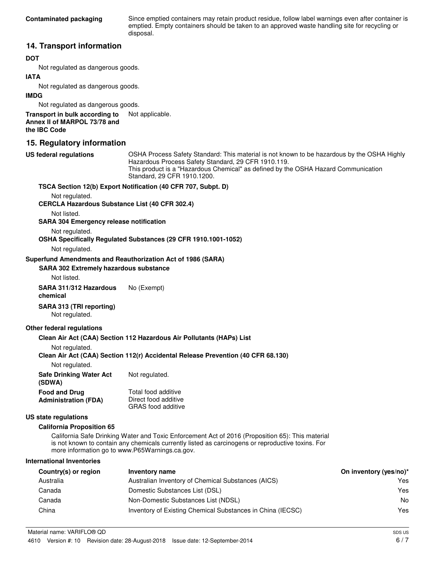Since emptied containers may retain product residue, follow label warnings even after container is emptied. Empty containers should be taken to an approved waste handling site for recycling or disposal.

### **14. Transport information**

#### **DOT**

Not regulated as dangerous goods.

#### **IATA**

Not regulated as dangerous goods.

#### **IMDG**

Not regulated as dangerous goods.

**Transport in bulk according to** Not applicable. **Annex II of MARPOL 73/78 and the IBC Code**

### **15. Regulatory information**

**US federal regulations**

OSHA Process Safety Standard: This material is not known to be hazardous by the OSHA Highly Hazardous Process Safety Standard, 29 CFR 1910.119. This product is a "Hazardous Chemical" as defined by the OSHA Hazard Communication Standard, 29 CFR 1910.1200.

#### **TSCA Section 12(b) Export Notification (40 CFR 707, Subpt. D)**

Not regulated.

#### **CERCLA Hazardous Substance List (40 CFR 302.4)**

Not listed.

**SARA 304 Emergency release notification**

Not regulated. **OSHA Specifically Regulated Substances (29 CFR 1910.1001-1052)**

Not regulated.

#### **Superfund Amendments and Reauthorization Act of 1986 (SARA)**

#### **SARA 302 Extremely hazardous substance**

Not listed.

**SARA 311/312 Hazardous** No (Exempt) **chemical**

#### **SARA 313 (TRI reporting)** Not regulated.

#### **Other federal regulations**

#### **Clean Air Act (CAA) Section 112 Hazardous Air Pollutants (HAPs) List**

Not regulated.

#### **Clean Air Act (CAA) Section 112(r) Accidental Release Prevention (40 CFR 68.130)**

Not regulated.

| <b>Safe Drinking Water Act</b> | Not regulated.            |
|--------------------------------|---------------------------|
| (SDWA)                         |                           |
| <b>Food and Drug</b>           | Total food additive       |
| <b>Administration (FDA)</b>    | Direct food additive      |
|                                | <b>GRAS</b> food additive |

#### **US state regulations**

#### **California Proposition 65**

California Safe Drinking Water and Toxic Enforcement Act of 2016 (Proposition 65): This material is not known to contain any chemicals currently listed as carcinogens or reproductive toxins. For more information go to www.P65Warnings.ca.gov.

#### **International Inventories**

| Country(s) or region | Inventory name                                             | On inventory (yes/no)* |
|----------------------|------------------------------------------------------------|------------------------|
| Australia            | Australian Inventory of Chemical Substances (AICS)         | Yes                    |
| Canada               | Domestic Substances List (DSL)                             | Yes                    |
| Canada               | Non-Domestic Substances List (NDSL)                        | No                     |
| China                | Inventory of Existing Chemical Substances in China (IECSC) | Yes                    |